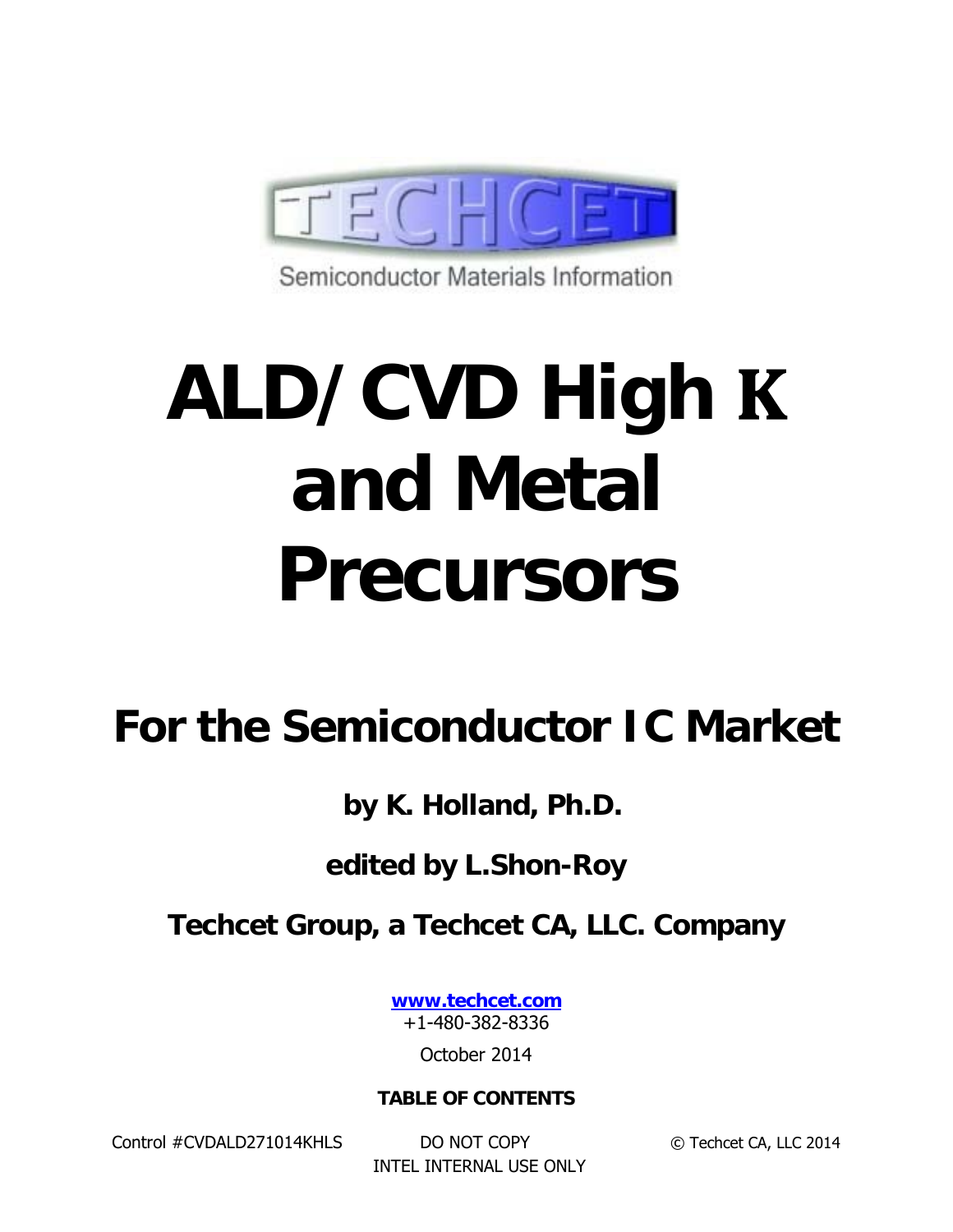

Semiconductor Materials Information

# **ALD/CVD High and Metal Precursors**

# **For the Semiconductor IC Market**

**by K. Holland, Ph.D.** 

# **edited by L.Shon-Roy**

## **Techcet Group, a Techcet CA, LLC. Company**

**www.techcet.com** +1-480-382-8336

October 2014

#### **TABLE OF CONTENTS**

Control #CVDALD271014KHLS DO NOT COPY © Techcet CA, LLC 2014

INTEL INTERNAL USE ONLY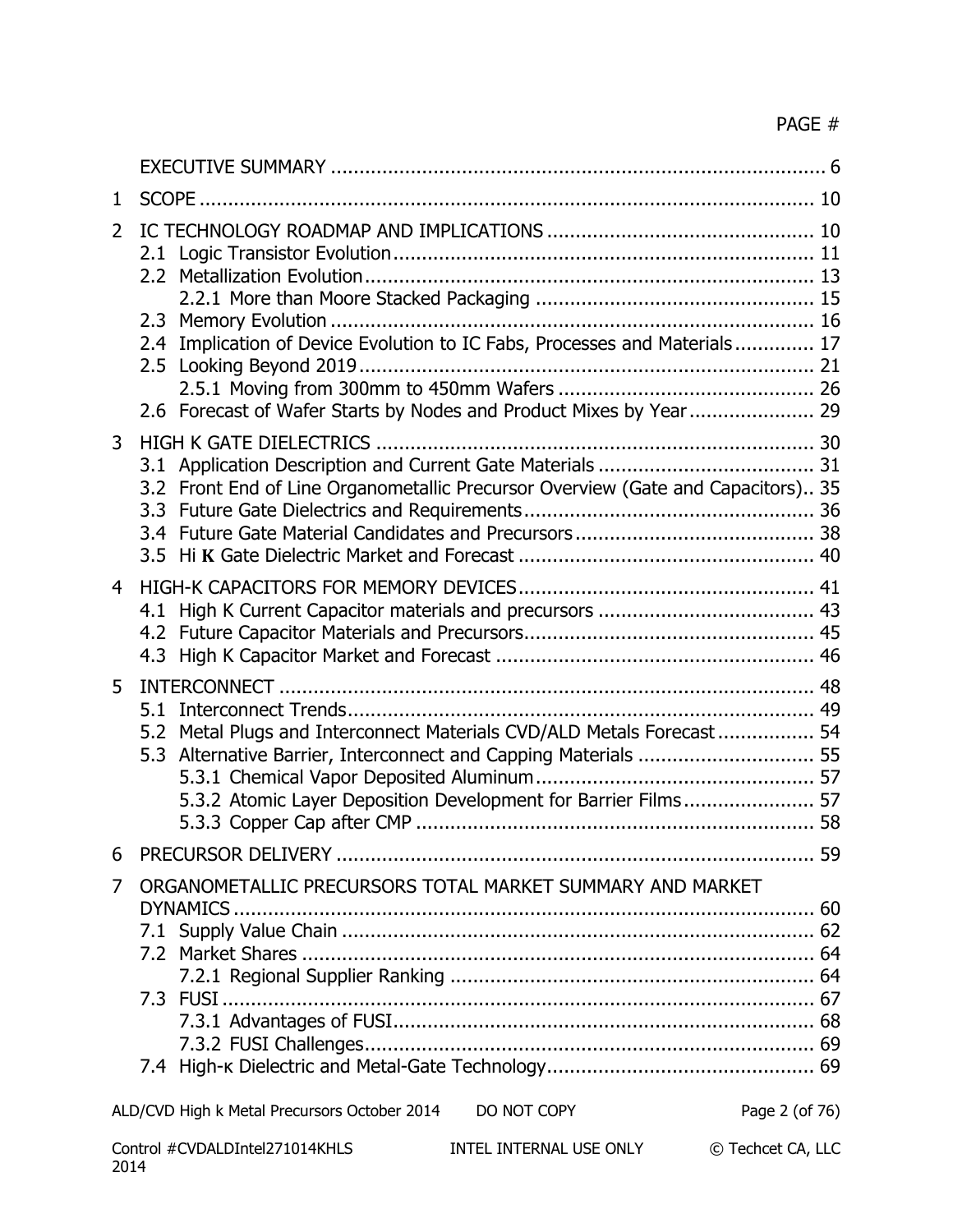| 1              |                                                                                                                                                                                                             |  |
|----------------|-------------------------------------------------------------------------------------------------------------------------------------------------------------------------------------------------------------|--|
| $\overline{2}$ | 2.4 Implication of Device Evolution to IC Fabs, Processes and Materials 17<br>2.6 Forecast of Wafer Starts by Nodes and Product Mixes by Year 29                                                            |  |
| 3              | 3.2 Front End of Line Organometallic Precursor Overview (Gate and Capacitors) 35                                                                                                                            |  |
| $\overline{4}$ |                                                                                                                                                                                                             |  |
| 5              | 5.2 Metal Plugs and Interconnect Materials CVD/ALD Metals Forecast  54<br>5.3 Alternative Barrier, Interconnect and Capping Materials  55<br>5.3.2 Atomic Layer Deposition Development for Barrier Films 57 |  |
| 6              |                                                                                                                                                                                                             |  |
| 7              | ORGANOMETALLIC PRECURSORS TOTAL MARKET SUMMARY AND MARKET                                                                                                                                                   |  |
|                | ALD/CVD High k Metal Precursors October 2014<br>DO NOT COPY<br>Page 2 (of 76)                                                                                                                               |  |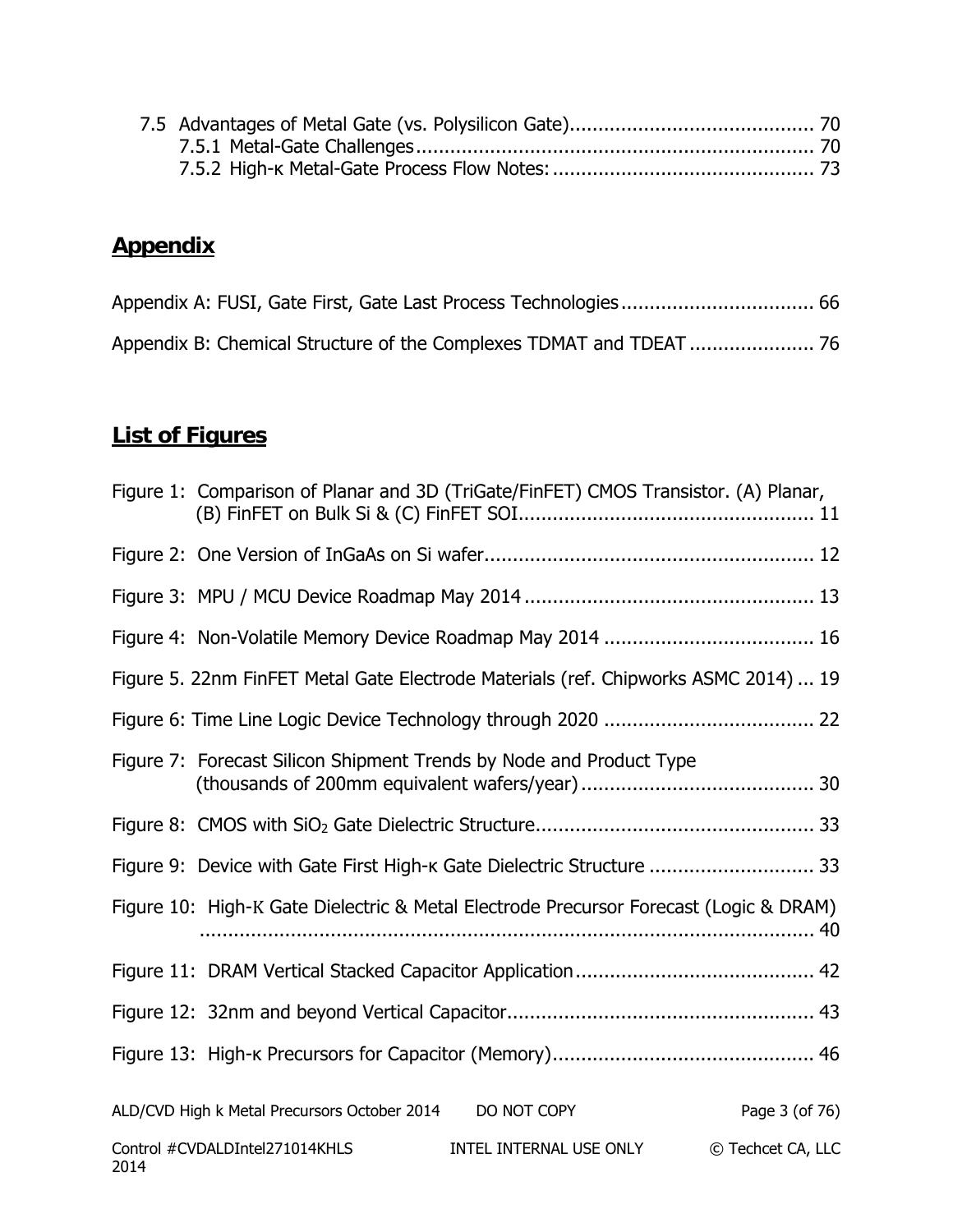### **Appendix**

#### **List of Figures**

|      |                                              | Figure 1: Comparison of Planar and 3D (TriGate/FinFET) CMOS Transistor. (A) Planar,   |                   |
|------|----------------------------------------------|---------------------------------------------------------------------------------------|-------------------|
|      |                                              |                                                                                       |                   |
|      |                                              |                                                                                       |                   |
|      |                                              |                                                                                       |                   |
|      |                                              | Figure 5. 22nm FinFET Metal Gate Electrode Materials (ref. Chipworks ASMC 2014)  19   |                   |
|      |                                              |                                                                                       |                   |
|      |                                              | Figure 7: Forecast Silicon Shipment Trends by Node and Product Type                   |                   |
|      |                                              |                                                                                       |                   |
|      |                                              | Figure 9: Device with Gate First High-k Gate Dielectric Structure  33                 |                   |
|      |                                              | Figure 10: High-K Gate Dielectric & Metal Electrode Precursor Forecast (Logic & DRAM) |                   |
|      |                                              |                                                                                       |                   |
|      |                                              |                                                                                       |                   |
|      |                                              |                                                                                       |                   |
|      | ALD/CVD High k Metal Precursors October 2014 | DO NOT COPY                                                                           | Page 3 (of 76)    |
| 2014 | Control #CVDALDIntel271014KHLS               | INTEL INTERNAL USE ONLY                                                               | © Techcet CA, LLC |